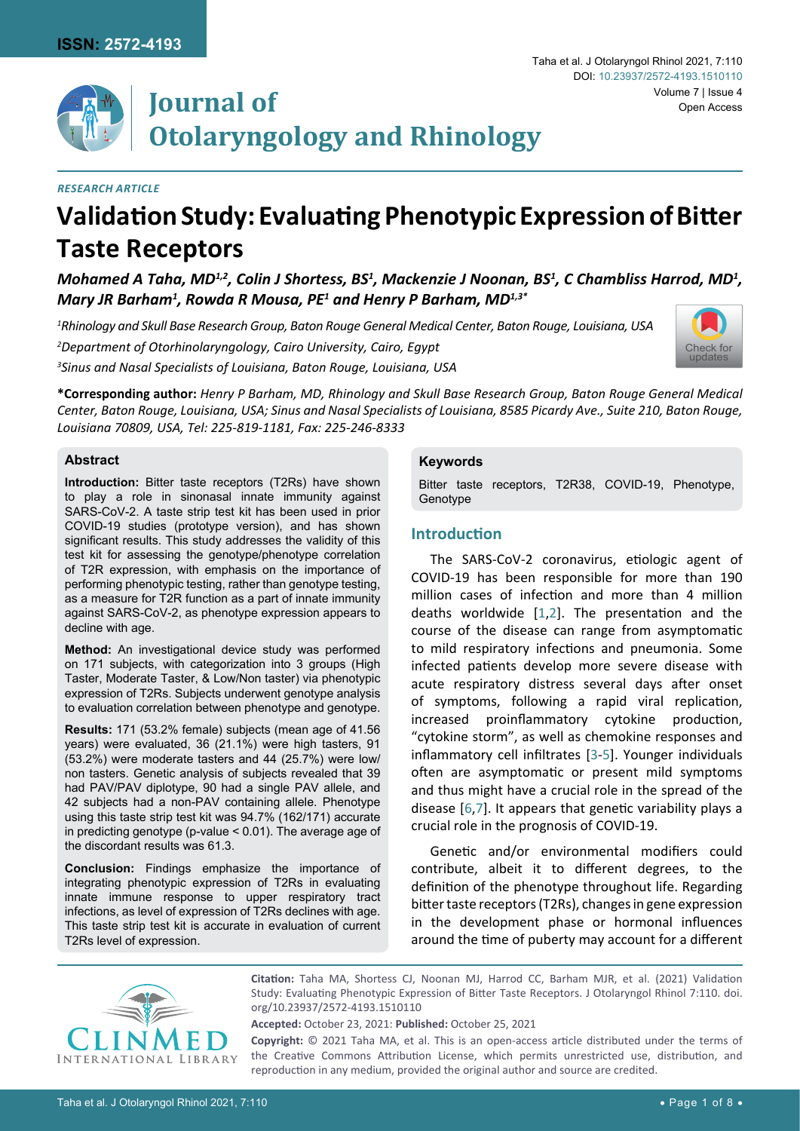

## *Research Article*

# **Validation Study: Evaluating Phenotypic Expression of Bitter Taste Receptors**

*Mohamed A Taha, MD1,2, Colin J Shortess, BS1 , Mackenzie J Noonan, BS1 , C Chambliss Harrod, MD1 , Mary JR Barham1 , Rowda R Mousa, PE1 and Henry P Barham, MD1,3\**

*1 Rhinology and Skull Base Research Group, Baton Rouge General Medical Center, Baton Rouge, Louisiana, USA 2 Department of Otorhinolaryngology, Cairo University, Cairo, Egypt 3 Sinus and Nasal Specialists of Louisiana, Baton Rouge, Louisiana, USA*



**\*Corresponding author:** *Henry P Barham, MD, Rhinology and Skull Base Research Group, Baton Rouge General Medical Center, Baton Rouge, Louisiana, USA; Sinus and Nasal Specialists of Louisiana, 8585 Picardy Ave., Suite 210, Baton Rouge, Louisiana 70809, USA, Tel: 225-819-1181, Fax: 225-246-8333*

## **Abstract**

**Introduction:** Bitter taste receptors (T2Rs) have shown to play a role in sinonasal innate immunity against SARS-CoV-2. A taste strip test kit has been used in prior COVID-19 studies (prototype version), and has shown significant results. This study addresses the validity of this test kit for assessing the genotype/phenotype correlation of T2R expression, with emphasis on the importance of performing phenotypic testing, rather than genotype testing, as a measure for T2R function as a part of innate immunity against SARS-CoV-2, as phenotype expression appears to decline with age.

**Method:** An investigational device study was performed on 171 subjects, with categorization into 3 groups (High Taster, Moderate Taster, & Low/Non taster) via phenotypic expression of T2Rs. Subjects underwent genotype analysis to evaluation correlation between phenotype and genotype.

**Results:** 171 (53.2% female) subjects (mean age of 41.56 years) were evaluated, 36 (21.1%) were high tasters, 91 (53.2%) were moderate tasters and 44 (25.7%) were low/ non tasters. Genetic analysis of subjects revealed that 39 had PAV/PAV diplotype, 90 had a single PAV allele, and 42 subjects had a non-PAV containing allele. Phenotype using this taste strip test kit was 94.7% (162/171) accurate in predicting genotype (p-value < 0.01). The average age of the discordant results was 61.3.

**Conclusion:** Findings emphasize the importance of integrating phenotypic expression of T2Rs in evaluating innate immune response to upper respiratory tract infections, as level of expression of T2Rs declines with age. This taste strip test kit is accurate in evaluation of current T2Rs level of expression.

## **Keywords**

Bitter taste receptors, T2R38, COVID-19, Phenotype, Genotype

# **Introduction**

The SARS-CoV-2 coronavirus, etiologic agent of COVID-19 has been responsible for more than 190 million cases of infection and more than 4 million deaths worldwide [[1](#page-6-0),[2](#page-6-1)]. The presentation and the course of the disease can range from asymptomatic to mild respiratory infections and pneumonia. Some infected patients develop more severe disease with acute respiratory distress several days after onset of symptoms, following a rapid viral replication, increased proinflammatory cytokine production, "cytokine storm", as well as chemokine responses and inflammatory cell infiltrates [[3](#page-6-2)[-5](#page-6-3)]. Younger individuals often are asymptomatic or present mild symptoms and thus might have a crucial role in the spread of the disease [[6](#page-6-4),[7\]](#page-6-5). It appears that genetic variability plays a crucial role in the prognosis of COVID-19.

Genetic and/or environmental modifiers could contribute, albeit it to different degrees, to the definition of the phenotype throughout life. Regarding bitter taste receptors (T2Rs), changes in gene expression in the development phase or hormonal influences around the time of puberty may account for a different



**Citation:** Taha MA, Shortess CJ, Noonan MJ, Harrod CC, Barham MJR, et al. (2021) Validation Study: Evaluating Phenotypic Expression of Bitter Taste Receptors. J Otolaryngol Rhinol 7:110. [doi.](https://doi.org/10.23937/2572-4193.1510110) [org/10.23937/2572-4193.1510110](https://doi.org/10.23937/2572-4193.1510110)

**Accepted:** October 23, 2021: **Published:** October 25, 2021

**Copyright:** © 2021 Taha MA, et al. This is an open-access article distributed under the terms of the Creative Commons Attribution License, which permits unrestricted use, distribution, and reproduction in any medium, provided the original author and source are credited.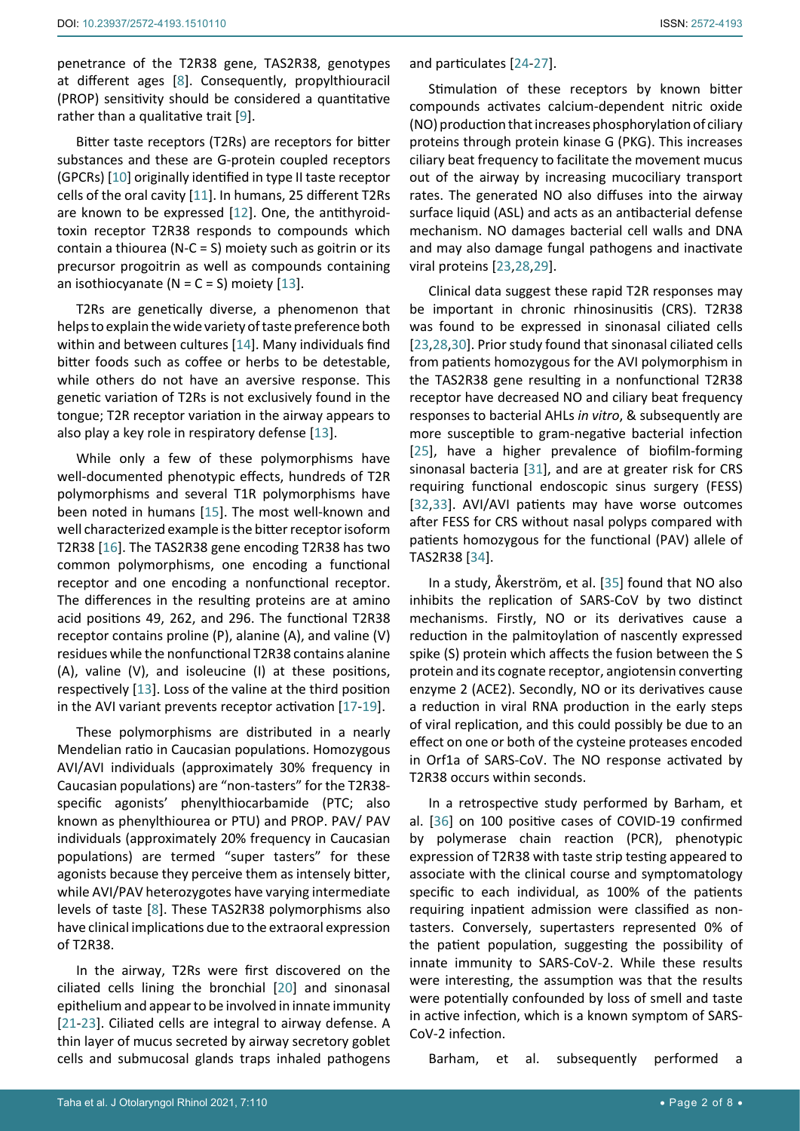penetrance of the T2R38 gene, TAS2R38, genotypes at different ages [[8](#page-6-18)]. Consequently, propylthiouracil (PROP) sensitivity should be considered a quantitative rather than a qualitative trait [\[9](#page-6-19)].

Bitter taste receptors (T2Rs) are receptors for bitter substances and these are G-protein coupled receptors (GPCRs) [[10](#page-6-20)] originally identified in type II taste receptor cells of the oral cavity [[11](#page-6-21)]. In humans, 25 different T2Rs are known to be expressed [[12](#page-6-22)]. One, the antithyroidtoxin receptor T2R38 responds to compounds which contain a thiourea (N-C = S) moiety such as goitrin or its precursor progoitrin as well as compounds containing an isothiocyanate ( $N = C = S$ ) moiety [\[13](#page-6-23)].

T2Rs are genetically diverse, a phenomenon that helps to explain the wide variety of taste preference both within and between cultures [[14\]](#page-6-24). Many individuals find bitter foods such as coffee or herbs to be detestable, while others do not have an aversive response. This genetic variation of T2Rs is not exclusively found in the tongue; T2R receptor variation in the airway appears to also play a key role in respiratory defense [[13](#page-6-23)].

While only a few of these polymorphisms have well-documented phenotypic effects, hundreds of T2R polymorphisms and several T1R polymorphisms have been noted in humans [\[15](#page-6-25)]. The most well-known and well characterized example is the bitter receptor isoform T2R38 [[16](#page-6-26)]. The TAS2R38 gene encoding T2R38 has two common polymorphisms, one encoding a functional receptor and one encoding a nonfunctional receptor. The differences in the resulting proteins are at amino acid positions 49, 262, and 296. The functional T2R38 receptor contains proline (P), alanine (A), and valine (V) residues while the nonfunctional T2R38 contains alanine (A), valine (V), and isoleucine (I) at these positions, respectively [\[13](#page-6-23)]. Loss of the valine at the third position in the AVI variant prevents receptor activation [\[17](#page-6-27)-[19](#page-6-28)].

These polymorphisms are distributed in a nearly Mendelian ratio in Caucasian populations. Homozygous AVI/AVI individuals (approximately 30% frequency in Caucasian populations) are "non-tasters" for the T2R38 specific agonists' phenylthiocarbamide (PTC; also known as phenylthiourea or PTU) and PROP. PAV/ PAV individuals (approximately 20% frequency in Caucasian populations) are termed "super tasters" for these agonists because they perceive them as intensely bitter, while AVI/PAV heterozygotes have varying intermediate levels of taste [[8](#page-6-18)]. These TAS2R38 polymorphisms also have clinical implications due to the extraoral expression of T2R38.

In the airway, T2Rs were first discovered on the ciliated cells lining the bronchial [[20\]](#page-6-29) and sinonasal epithelium and appear to be involved in innate immunity [[21](#page-6-30)[-23\]](#page-6-8). Ciliated cells are integral to airway defense. A thin layer of mucus secreted by airway secretory goblet cells and submucosal glands traps inhaled pathogens and particulates [[24](#page-6-6)[-27](#page-6-7)].

Stimulation of these receptors by known bitter compounds activates calcium-dependent nitric oxide (NO) production that increases phosphorylation of ciliary proteins through protein kinase G (PKG). This increases ciliary beat frequency to facilitate the movement mucus out of the airway by increasing mucociliary transport rates. The generated NO also diffuses into the airway surface liquid (ASL) and acts as an antibacterial defense mechanism. NO damages bacterial cell walls and DNA and may also damage fungal pathogens and inactivate viral proteins [\[23](#page-6-8)[,28,](#page-6-9)[29](#page-6-10)].

Clinical data suggest these rapid T2R responses may be important in chronic rhinosinusitis (CRS). T2R38 was found to be expressed in sinonasal ciliated cells [\[23](#page-6-8)[,28](#page-6-9),[30](#page-6-11)]. Prior study found that sinonasal ciliated cells from patients homozygous for the AVI polymorphism in the TAS2R38 gene resulting in a nonfunctional T2R38 receptor have decreased NO and ciliary beat frequency responses to bacterial AHLs *in vitro*, & subsequently are more susceptible to gram-negative bacterial infection [\[25](#page-6-12)], have a higher prevalence of biofilm-forming sinonasal bacteria [\[31](#page-6-13)], and are at greater risk for CRS requiring functional endoscopic sinus surgery (FESS) [\[32](#page-6-14),[33](#page-6-15)]. AVI/AVI patients may have worse outcomes after FESS for CRS without nasal polyps compared with patients homozygous for the functional (PAV) allele of TAS2R38 [\[34](#page-6-16)].

In a study, Åkerström, et al. [[35](#page-6-17)] found that NO also inhibits the replication of SARS-CoV by two distinct mechanisms. Firstly, NO or its derivatives cause a reduction in the palmitoylation of nascently expressed spike (S) protein which affects the fusion between the S protein and its cognate receptor, angiotensin converting enzyme 2 (ACE2). Secondly, NO or its derivatives cause a reduction in viral RNA production in the early steps of viral replication, and this could possibly be due to an effect on one or both of the cysteine proteases encoded in Orf1a of SARS-CoV. The NO response activated by T2R38 occurs within seconds.

In a retrospective study performed by Barham, et al. [[36](#page-7-0)] on 100 positive cases of COVID-19 confirmed by polymerase chain reaction (PCR), phenotypic expression of T2R38 with taste strip testing appeared to associate with the clinical course and symptomatology specific to each individual, as 100% of the patients requiring inpatient admission were classified as nontasters. Conversely, supertasters represented 0% of the patient population, suggesting the possibility of innate immunity to SARS-CoV-2. While these results were interesting, the assumption was that the results were potentially confounded by loss of smell and taste in active infection, which is a known symptom of SARS-CoV-2 infection.

Barham, et al. subsequently performed a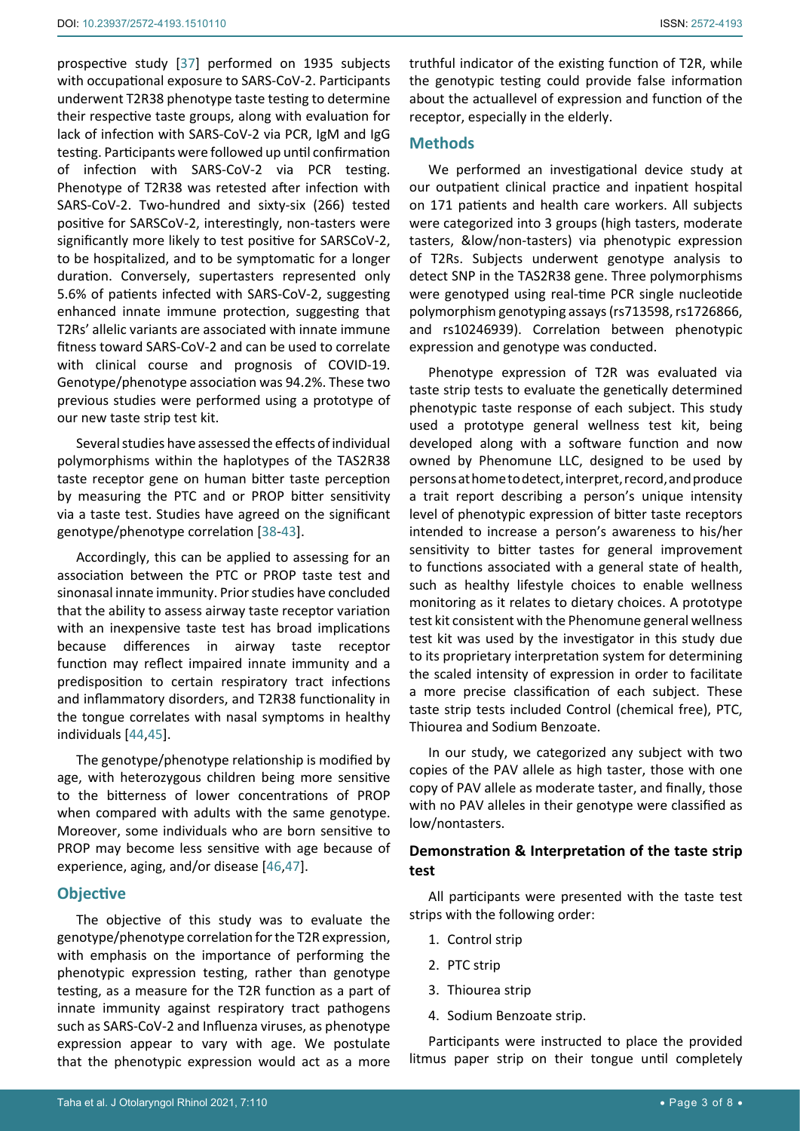prospective study [\[37](#page-7-1)] performed on 1935 subjects with occupational exposure to SARS-CoV-2. Participants underwent T2R38 phenotype taste testing to determine their respective taste groups, along with evaluation for lack of infection with SARS-CoV-2 via PCR, IgM and IgG testing. Participants were followed up until confirmation of infection with SARS-CoV-2 via PCR testing. Phenotype of T2R38 was retested after infection with SARS-CoV-2. Two-hundred and sixty-six (266) tested positive for SARSCoV-2, interestingly, non-tasters were significantly more likely to test positive for SARSCoV-2, to be hospitalized, and to be symptomatic for a longer duration. Conversely, supertasters represented only 5.6% of patients infected with SARS-CoV-2, suggesting enhanced innate immune protection, suggesting that T2Rs' allelic variants are associated with innate immune fitness toward SARS-CoV-2 and can be used to correlate with clinical course and prognosis of COVID-19. Genotype/phenotype association was 94.2%. These two previous studies were performed using a prototype of our new taste strip test kit.

Several studies have assessed the effects of individual polymorphisms within the haplotypes of the TAS2R38 taste receptor gene on human bitter taste perception by measuring the PTC and or PROP bitter sensitivity via a taste test. Studies have agreed on the significant genotype/phenotype correlation [[38](#page-7-2)[-43](#page-7-3)].

Accordingly, this can be applied to assessing for an association between the PTC or PROP taste test and sinonasal innate immunity. Prior studies have concluded that the ability to assess airway taste receptor variation with an inexpensive taste test has broad implications because differences in airway taste receptor function may reflect impaired innate immunity and a predisposition to certain respiratory tract infections and inflammatory disorders, and T2R38 functionality in the tongue correlates with nasal symptoms in healthy individuals [\[44](#page-7-4),[45](#page-7-5)].

The genotype/phenotype relationship is modified by age, with heterozygous children being more sensitive to the bitterness of lower concentrations of PROP when compared with adults with the same genotype. Moreover, some individuals who are born sensitive to PROP may become less sensitive with age because of experience, aging, and/or disease [\[46](#page-7-6),[47](#page-7-7)].

## **Objective**

The objective of this study was to evaluate the genotype/phenotype correlation for the T2R expression, with emphasis on the importance of performing the phenotypic expression testing, rather than genotype testing, as a measure for the T2R function as a part of innate immunity against respiratory tract pathogens such as SARS-CoV-2 and Influenza viruses, as phenotype expression appear to vary with age. We postulate that the phenotypic expression would act as a more truthful indicator of the existing function of T2R, while the genotypic testing could provide false information about the actuallevel of expression and function of the receptor, especially in the elderly.

# **Methods**

We performed an investigational device study at our outpatient clinical practice and inpatient hospital on 171 patients and health care workers. All subjects were categorized into 3 groups (high tasters, moderate tasters, &low/non-tasters) via phenotypic expression of T2Rs. Subjects underwent genotype analysis to detect SNP in the TAS2R38 gene. Three polymorphisms were genotyped using real-time PCR single nucleotide polymorphism genotyping assays (rs713598, rs1726866, and rs10246939). Correlation between phenotypic expression and genotype was conducted.

Phenotype expression of T2R was evaluated via taste strip tests to evaluate the genetically determined phenotypic taste response of each subject. This study used a prototype general wellness test kit, being developed along with a software function and now owned by Phenomune LLC, designed to be used by persons at home to detect, interpret, record, and produce a trait report describing a person's unique intensity level of phenotypic expression of bitter taste receptors intended to increase a person's awareness to his/her sensitivity to bitter tastes for general improvement to functions associated with a general state of health, such as healthy lifestyle choices to enable wellness monitoring as it relates to dietary choices. A prototype test kit consistent with the Phenomune general wellness test kit was used by the investigator in this study due to its proprietary interpretation system for determining the scaled intensity of expression in order to facilitate a more precise classification of each subject. These taste strip tests included Control (chemical free), PTC, Thiourea and Sodium Benzoate.

In our study, we categorized any subject with two copies of the PAV allele as high taster, those with one copy of PAV allele as moderate taster, and finally, those with no PAV alleles in their genotype were classified as low/nontasters.

# **Demonstration & Interpretation of the taste strip test**

All participants were presented with the taste test strips with the following order:

- 1. Control strip
- 2. PTC strip
- 3. Thiourea strip
- 4. Sodium Benzoate strip.

Participants were instructed to place the provided litmus paper strip on their tongue until completely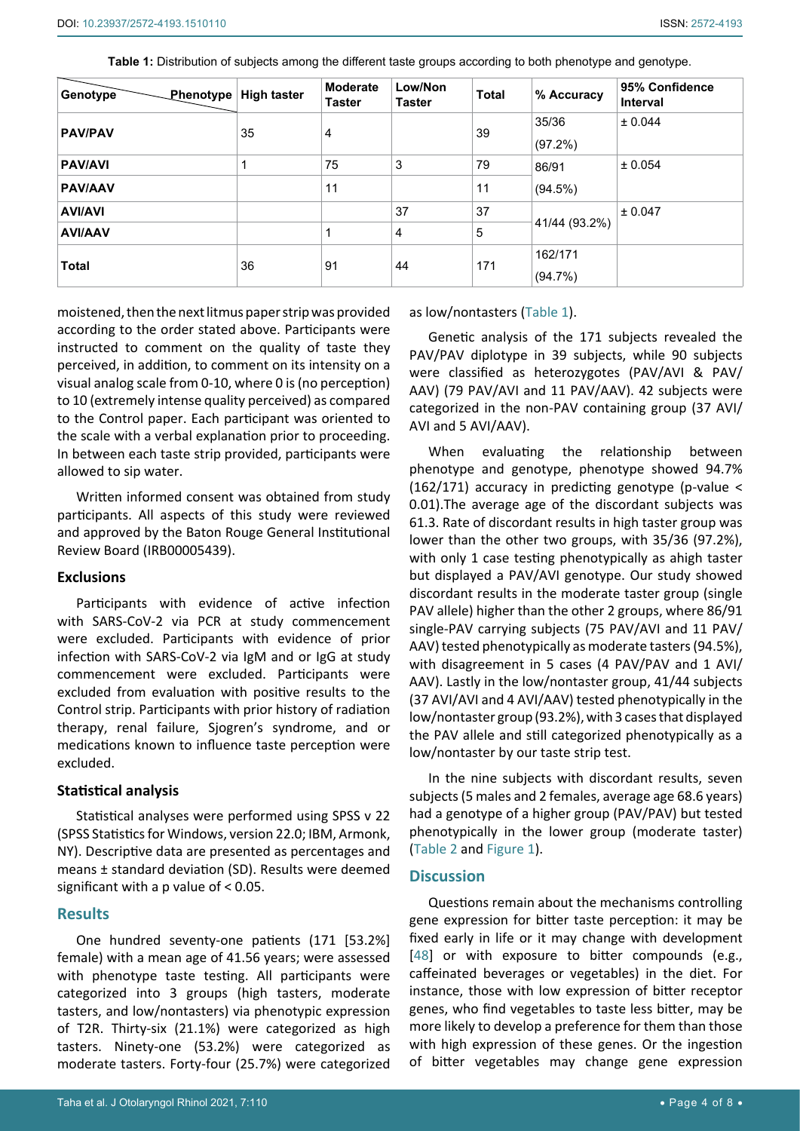<span id="page-3-0"></span>

| Table 1: Distribution of subjects among the different taste groups according to both phenotype and genotype. |  |  |
|--------------------------------------------------------------------------------------------------------------|--|--|
|                                                                                                              |  |  |

| Genotype <sup>7</sup> | Phenotype High taster | <b>Moderate</b><br><b>Taster</b> | Low/Non<br><b>Taster</b> | <b>Total</b> | % Accuracy            | 95% Confidence<br><b>Interval</b> |
|-----------------------|-----------------------|----------------------------------|--------------------------|--------------|-----------------------|-----------------------------------|
| <b>PAV/PAV</b>        | 35                    | $\overline{4}$                   |                          | 39           | 35/36<br>(97.2%)      | ± 0.044                           |
| <b>PAV/AVI</b>        |                       | 75                               | 3                        | 79           | 86/91                 | ± 0.054                           |
| <b>PAV/AAV</b>        |                       | 11                               |                          | 11           | (94.5%)               |                                   |
| <b>AVI/AVI</b>        |                       |                                  | 37                       | 37           |                       | ± 0.047                           |
| <b>AVI/AAV</b>        |                       |                                  | 4                        | 5            | 41/44 (93.2%)         |                                   |
| <b>Total</b>          | 36                    | 91                               | 44                       | 171          | 162/171<br>$(94.7\%)$ |                                   |

moistened, then the next litmus paper strip was provided according to the order stated above. Participants were instructed to comment on the quality of taste they perceived, in addition, to comment on its intensity on a visual analog scale from 0-10, where 0 is (no perception) to 10 (extremely intense quality perceived) as compared to the Control paper. Each participant was oriented to the scale with a verbal explanation prior to proceeding. In between each taste strip provided, participants were allowed to sip water.

Written informed consent was obtained from study participants. All aspects of this study were reviewed and approved by the Baton Rouge General Institutional Review Board (IRB00005439).

#### **Exclusions**

Participants with evidence of active infection with SARS-CoV-2 via PCR at study commencement were excluded. Participants with evidence of prior infection with SARS-CoV-2 via IgM and or IgG at study commencement were excluded. Participants were excluded from evaluation with positive results to the Control strip. Participants with prior history of radiation therapy, renal failure, Sjogren's syndrome, and or medications known to influence taste perception were excluded.

#### **Statistical analysis**

Statistical analyses were performed using SPSS v 22 (SPSS Statistics for Windows, version 22.0; IBM, Armonk, NY). Descriptive data are presented as percentages and means ± standard deviation (SD). Results were deemed significant with a p value of < 0.05.

#### **Results**

One hundred seventy-one patients (171 [53.2%] female) with a mean age of 41.56 years; were assessed with phenotype taste testing. All participants were categorized into 3 groups (high tasters, moderate tasters, and low/nontasters) via phenotypic expression of T2R. Thirty-six (21.1%) were categorized as high tasters. Ninety-one (53.2%) were categorized as moderate tasters. Forty-four (25.7%) were categorized as low/nontasters ([Table 1](#page-3-0)).

Genetic analysis of the 171 subjects revealed the PAV/PAV diplotype in 39 subjects, while 90 subjects were classified as heterozygotes (PAV/AVI & PAV/ AAV) (79 PAV/AVI and 11 PAV/AAV). 42 subjects were categorized in the non-PAV containing group (37 AVI/ AVI and 5 AVI/AAV).

When evaluating the relationship between phenotype and genotype, phenotype showed 94.7% (162/171) accuracy in predicting genotype (p-value < 0.01).The average age of the discordant subjects was 61.3. Rate of discordant results in high taster group was lower than the other two groups, with 35/36 (97.2%), with only 1 case testing phenotypically as ahigh taster but displayed a PAV/AVI genotype. Our study showed discordant results in the moderate taster group (single PAV allele) higher than the other 2 groups, where 86/91 single-PAV carrying subjects (75 PAV/AVI and 11 PAV/ AAV) tested phenotypically as moderate tasters (94.5%), with disagreement in 5 cases (4 PAV/PAV and 1 AVI/ AAV). Lastly in the low/nontaster group, 41/44 subjects (37 AVI/AVI and 4 AVI/AAV) tested phenotypically in the low/nontaster group (93.2%), with 3 cases that displayed the PAV allele and still categorized phenotypically as a low/nontaster by our taste strip test.

In the nine subjects with discordant results, seven subjects (5 males and 2 females, average age 68.6 years) had a genotype of a higher group (PAV/PAV) but tested phenotypically in the lower group (moderate taster) ([Table 2](#page-4-0) and [Figure 1](#page-3-0)).

#### **Discussion**

Questions remain about the mechanisms controlling gene expression for bitter taste perception: it may be fixed early in life or it may change with development [\[48](#page-7-8)] or with exposure to bitter compounds (e.g., caffeinated beverages or vegetables) in the diet. For instance, those with low expression of bitter receptor genes, who find vegetables to taste less bitter, may be more likely to develop a preference for them than those with high expression of these genes. Or the ingestion of bitter vegetables may change gene expression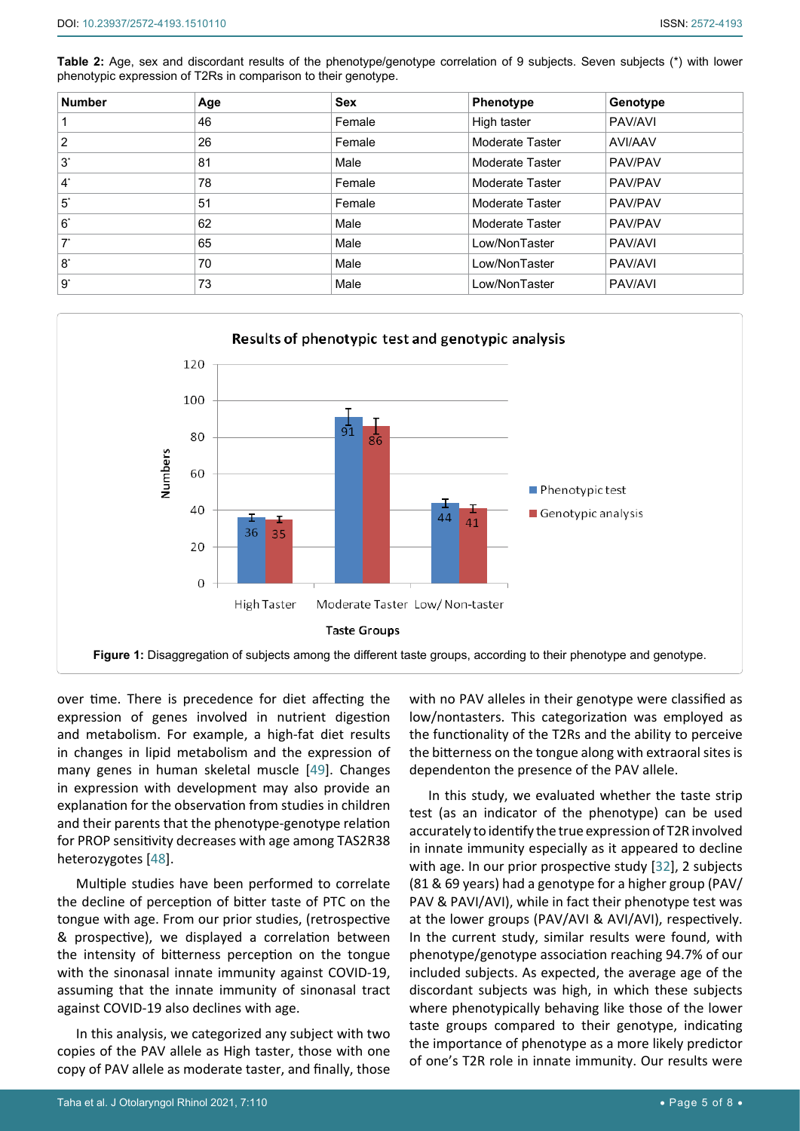<span id="page-4-0"></span>**Table 2:** Age, sex and discordant results of the phenotype/genotype correlation of 9 subjects. Seven subjects (\*) with lower phenotypic expression of T2Rs in comparison to their genotype.

| <b>Number</b>  | Age | <b>Sex</b> | Phenotype       | Genotype |
|----------------|-----|------------|-----------------|----------|
|                | 46  | Female     | High taster     | PAV/AVI  |
| 2              | 26  | Female     | Moderate Taster | AVI/AAV  |
| $3^*$          | 81  | Male       | Moderate Taster | PAV/PAV  |
| $\mathbf{4}^*$ | 78  | Female     | Moderate Taster | PAV/PAV  |
| $5^*$          | 51  | Female     | Moderate Taster | PAV/PAV  |
| $6^*$          | 62  | Male       | Moderate Taster | PAV/PAV  |
| $7^*$          | 65  | Male       | Low/NonTaster   | PAV/AVI  |
| $8^*$          | 70  | Male       | Low/NonTaster   | PAV/AVI  |
| $9^*$          | 73  | Male       | Low/NonTaster   | PAV/AVI  |



over time. There is precedence for diet affecting the expression of genes involved in nutrient digestion and metabolism. For example, a high-fat diet results in changes in lipid metabolism and the expression of many genes in human skeletal muscle [[49](#page-7-9)]. Changes in expression with development may also provide an explanation for the observation from studies in children and their parents that the phenotype-genotype relation for PROP sensitivity decreases with age among TAS2R38 heterozygotes [\[48](#page-7-8)].

Multiple studies have been performed to correlate the decline of perception of bitter taste of PTC on the tongue with age. From our prior studies, (retrospective & prospective), we displayed a correlation between the intensity of bitterness perception on the tongue with the sinonasal innate immunity against COVID-19, assuming that the innate immunity of sinonasal tract against COVID-19 also declines with age.

In this analysis, we categorized any subject with two copies of the PAV allele as High taster, those with one copy of PAV allele as moderate taster, and finally, those with no PAV alleles in their genotype were classified as low/nontasters. This categorization was employed as the functionality of the T2Rs and the ability to perceive the bitterness on the tongue along with extraoral sites is dependenton the presence of the PAV allele.

In this study, we evaluated whether the taste strip test (as an indicator of the phenotype) can be used accurately to identify the true expression of T2R involved in innate immunity especially as it appeared to decline with age. In our prior prospective study [[32](#page-6-14)], 2 subjects (81 & 69 years) had a genotype for a higher group (PAV/ PAV & PAVI/AVI), while in fact their phenotype test was at the lower groups (PAV/AVI & AVI/AVI), respectively. In the current study, similar results were found, with phenotype/genotype association reaching 94.7% of our included subjects. As expected, the average age of the discordant subjects was high, in which these subjects where phenotypically behaving like those of the lower taste groups compared to their genotype, indicating the importance of phenotype as a more likely predictor of one's T2R role in innate immunity. Our results were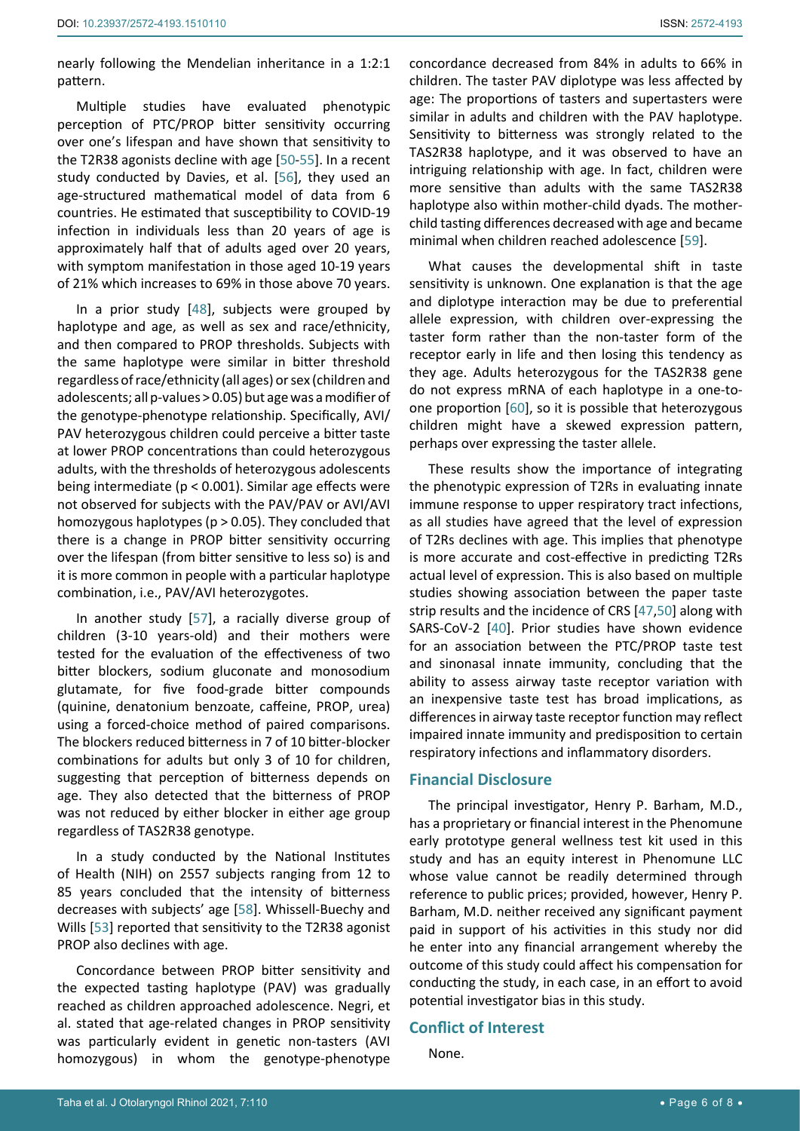nearly following the Mendelian inheritance in a 1:2:1 pattern.

Multiple studies have evaluated phenotypic perception of PTC/PROP bitter sensitivity occurring over one's lifespan and have shown that sensitivity to the T2R38 agonists decline with age [[50-](#page-7-12)[55](#page-7-5)]. In a recent study conducted by Davies, et al. [\[56](#page-7-14)], they used an age-structured mathematical model of data from 6 countries. He estimated that susceptibility to COVID-19 infection in individuals less than 20 years of age is approximately half that of adults aged over 20 years, with symptom manifestation in those aged 10-19 years of 21% which increases to 69% in those above 70 years.

In a prior study [[48](#page-7-8)], subjects were grouped by haplotype and age, as well as sex and race/ethnicity, and then compared to PROP thresholds. Subjects with the same haplotype were similar in bitter threshold regardless of race/ethnicity (all ages) or sex (children and adolescents; all p-values > 0.05) but age was a modifier of the genotype-phenotype relationship. Specifically, AVI/ PAV heterozygous children could perceive a bitter taste at lower PROP concentrations than could heterozygous adults, with the thresholds of heterozygous adolescents being intermediate (p < 0.001). Similar age effects were not observed for subjects with the PAV/PAV or AVI/AVI homozygous haplotypes ( $p > 0.05$ ). They concluded that there is a change in PROP bitter sensitivity occurring over the lifespan (from bitter sensitive to less so) is and it is more common in people with a particular haplotype combination, i.e., PAV/AVI heterozygotes.

In another study [[57\]](#page-7-15), a racially diverse group of children (3-10 years-old) and their mothers were tested for the evaluation of the effectiveness of two bitter blockers, sodium gluconate and monosodium glutamate, for five food-grade bitter compounds (quinine, denatonium benzoate, caffeine, PROP, urea) using a forced-choice method of paired comparisons. The blockers reduced bitterness in 7 of 10 bitter-blocker combinations for adults but only 3 of 10 for children, suggesting that perception of bitterness depends on age. They also detected that the bitterness of PROP was not reduced by either blocker in either age group regardless of TAS2R38 genotype.

In a study conducted by the National Institutes of Health (NIH) on 2557 subjects ranging from 12 to 85 years concluded that the intensity of bitterness decreases with subjects' age [\[58](#page-7-16)]. Whissell-Buechy and Wills [\[53](#page-7-17)] reported that sensitivity to the T2R38 agonist PROP also declines with age.

Concordance between PROP bitter sensitivity and the expected tasting haplotype (PAV) was gradually reached as children approached adolescence. Negri, et al. stated that age-related changes in PROP sensitivity was particularly evident in genetic non-tasters (AVI homozygous) in whom the genotype-phenotype concordance decreased from 84% in adults to 66% in children. The taster PAV diplotype was less affected by age: The proportions of tasters and supertasters were similar in adults and children with the PAV haplotype. Sensitivity to bitterness was strongly related to the TAS2R38 haplotype, and it was observed to have an intriguing relationship with age. In fact, children were more sensitive than adults with the same TAS2R38 haplotype also within mother-child dyads. The motherchild tasting differences decreased with age and became minimal when children reached adolescence [\[59](#page-7-10)].

What causes the developmental shift in taste sensitivity is unknown. One explanation is that the age and diplotype interaction may be due to preferential allele expression, with children over-expressing the taster form rather than the non-taster form of the receptor early in life and then losing this tendency as they age. Adults heterozygous for the TAS2R38 gene do not express mRNA of each haplotype in a one-toone proportion [[60](#page-7-11)], so it is possible that heterozygous children might have a skewed expression pattern, perhaps over expressing the taster allele.

These results show the importance of integrating the phenotypic expression of T2Rs in evaluating innate immune response to upper respiratory tract infections, as all studies have agreed that the level of expression of T2Rs declines with age. This implies that phenotype is more accurate and cost-effective in predicting T2Rs actual level of expression. This is also based on multiple studies showing association between the paper taste strip results and the incidence of CRS [\[47](#page-7-7),[50](#page-7-12)] along with SARS-CoV-2 [[40\]](#page-7-13). Prior studies have shown evidence for an association between the PTC/PROP taste test and sinonasal innate immunity, concluding that the ability to assess airway taste receptor variation with an inexpensive taste test has broad implications, as differences in airway taste receptor function may reflect impaired innate immunity and predisposition to certain respiratory infections and inflammatory disorders.

## **Financial Disclosure**

The principal investigator, Henry P. Barham, M.D., has a proprietary or financial interest in the Phenomune early prototype general wellness test kit used in this study and has an equity interest in Phenomune LLC whose value cannot be readily determined through reference to public prices; provided, however, Henry P. Barham, M.D. neither received any significant payment paid in support of his activities in this study nor did he enter into any financial arrangement whereby the outcome of this study could affect his compensation for conducting the study, in each case, in an effort to avoid potential investigator bias in this study.

# **Conflict of Interest**

None.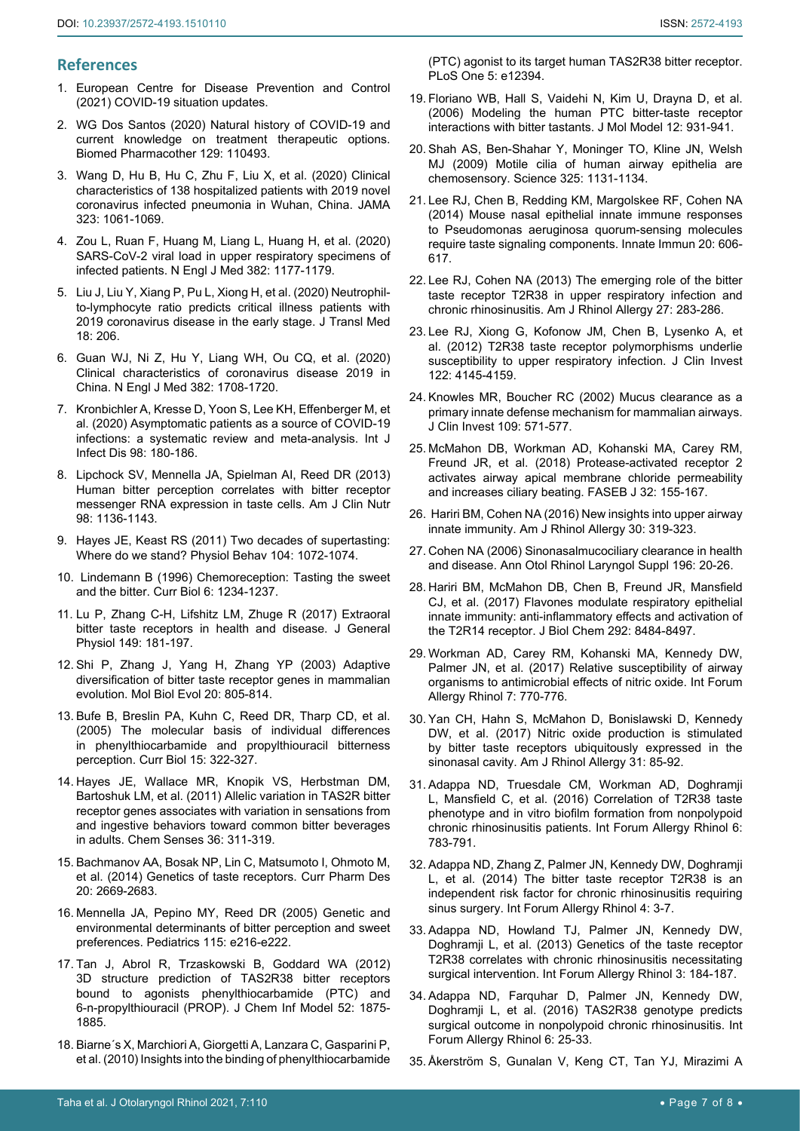# **References**

- <span id="page-6-0"></span>1. [European Centre for Disease Prevention and Control](https://www.ecdc.europa.eu/en/covid-19/situation-updates)  [\(2021\) COVID-19 situation updates.](https://www.ecdc.europa.eu/en/covid-19/situation-updates)
- <span id="page-6-1"></span>2. [WG Dos Santos \(2020\) Natural history of COVID-19 and](https://pubmed.ncbi.nlm.nih.gov/32768971/)  [current knowledge on treatment therapeutic options.](https://pubmed.ncbi.nlm.nih.gov/32768971/)  [Biomed Pharmacother 129: 110493.](https://pubmed.ncbi.nlm.nih.gov/32768971/)
- <span id="page-6-2"></span>3. [Wang D, Hu B, Hu C, Zhu F, Liu X, et al. \(2020\) Clinical](https://jamanetwork.com/journals/jama/fullarticle/2761044)  [characteristics of 138 hospitalized patients with 2019 novel](https://jamanetwork.com/journals/jama/fullarticle/2761044)  [coronavirus infected pneumonia in Wuhan, China. JAMA](https://jamanetwork.com/journals/jama/fullarticle/2761044)  [323: 1061-1069.](https://jamanetwork.com/journals/jama/fullarticle/2761044)
- 4. [Zou L, Ruan F, Huang M, Liang L, Huang H, et al. \(2020\)](https://www.nejm.org/doi/full/10.1056/nejmc2001737)  [SARS-CoV-2 viral load in upper respiratory specimens of](https://www.nejm.org/doi/full/10.1056/nejmc2001737)  [infected patients. N Engl J Med 382: 1177-1179.](https://www.nejm.org/doi/full/10.1056/nejmc2001737)
- <span id="page-6-3"></span>5. [Liu J, Liu Y, Xiang P, Pu L, Xiong H, et al. \(2020\) Neutrophil](https://translational-medicine.biomedcentral.com/articles/10.1186/s12967-020-02374-0)[to-lymphocyte ratio predicts critical illness patients with](https://translational-medicine.biomedcentral.com/articles/10.1186/s12967-020-02374-0)  [2019 coronavirus disease in the early stage. J Transl Med](https://translational-medicine.biomedcentral.com/articles/10.1186/s12967-020-02374-0)  [18: 206.](https://translational-medicine.biomedcentral.com/articles/10.1186/s12967-020-02374-0)
- <span id="page-6-4"></span>6. [Guan WJ, Ni Z, Hu Y, Liang WH, Ou CQ, et al. \(2020\)](https://www.nejm.org/doi/full/10.1056/nejmoa2002032)  [Clinical characteristics of coronavirus disease 2019 in](https://www.nejm.org/doi/full/10.1056/nejmoa2002032)  [China. N Engl J Med 382: 1708-1720.](https://www.nejm.org/doi/full/10.1056/nejmoa2002032)
- <span id="page-6-5"></span>7. [Kronbichler A, Kresse D, Yoon S, Lee KH, Effenberger M, et](https://pubmed.ncbi.nlm.nih.gov/32562846/)  [al. \(2020\) Asymptomatic patients as a source of COVID-19](https://pubmed.ncbi.nlm.nih.gov/32562846/)  [infections: a systematic review and meta-analysis. Int J](https://pubmed.ncbi.nlm.nih.gov/32562846/)  [Infect Dis 98: 180-186.](https://pubmed.ncbi.nlm.nih.gov/32562846/)
- <span id="page-6-18"></span>8. [Lipchock SV, Mennella JA, Spielman AI, Reed DR \(2013\)](https://pubmed.ncbi.nlm.nih.gov/24025627/)  [Human bitter perception correlates with bitter receptor](https://pubmed.ncbi.nlm.nih.gov/24025627/)  [messenger RNA expression in taste cells. Am J Clin Nutr](https://pubmed.ncbi.nlm.nih.gov/24025627/)  [98: 1136-1143.](https://pubmed.ncbi.nlm.nih.gov/24025627/)
- <span id="page-6-19"></span>9. [Hayes JE, Keast RS \(2011\) Two decades of supertasting:](https://www.ncbi.nlm.nih.gov/labs/pmc/articles/PMC3183330/)  [Where do we stand? Physiol Behav 104: 1072-1074.](https://www.ncbi.nlm.nih.gov/labs/pmc/articles/PMC3183330/)
- <span id="page-6-20"></span>10. [Lindemann B \(1996\) Chemoreception: Tasting the sweet](https://pubmed.ncbi.nlm.nih.gov/8939555/)  and the bitter. [Curr Biol 6: 1234-1237.](https://pubmed.ncbi.nlm.nih.gov/8939555/)
- <span id="page-6-21"></span>11. [Lu P, Zhang C-H, Lifshitz LM, Zhuge R \(2017\) Extraoral](https://pubmed.ncbi.nlm.nih.gov/28053191/)  [bitter taste receptors in health and disease.](https://pubmed.ncbi.nlm.nih.gov/28053191/) J General [Physiol 149: 181-197.](https://pubmed.ncbi.nlm.nih.gov/28053191/)
- <span id="page-6-22"></span>12. [Shi P, Zhang J, Yang H, Zhang YP \(2003\) Adaptive](https://pubmed.ncbi.nlm.nih.gov/12679530/)  [diversification of bitter taste receptor genes in mammalian](https://pubmed.ncbi.nlm.nih.gov/12679530/)  evolution. [Mol Biol Evol 20: 805-814.](https://pubmed.ncbi.nlm.nih.gov/12679530/)
- <span id="page-6-23"></span>13. [Bufe B, Breslin PA, Kuhn C, Reed DR, Tharp CD, et al.](https://pubmed.ncbi.nlm.nih.gov/15723792/)  [\(2005\) The molecular basis of individual differences](https://pubmed.ncbi.nlm.nih.gov/15723792/)  [in phenylthiocarbamide and propylthiouracil bitterness](https://pubmed.ncbi.nlm.nih.gov/15723792/)  perception. [Curr Biol 15: 322-327.](https://pubmed.ncbi.nlm.nih.gov/15723792/)
- <span id="page-6-24"></span>14. [Hayes JE, Wallace MR, Knopik VS, Herbstman DM,](https://pubmed.ncbi.nlm.nih.gov/21163912/)  [Bartoshuk LM, et al. \(2011\) Allelic variation in TAS2R bitter](https://pubmed.ncbi.nlm.nih.gov/21163912/)  [receptor genes associates with variation in sensations from](https://pubmed.ncbi.nlm.nih.gov/21163912/)  [and ingestive behaviors toward common bitter beverages](https://pubmed.ncbi.nlm.nih.gov/21163912/)  [in adults. Chem Senses 36: 311-319.](https://pubmed.ncbi.nlm.nih.gov/21163912/)
- <span id="page-6-25"></span>15. [Bachmanov AA, Bosak NP, Lin C, Matsumoto I, Ohmoto M,](https://pubmed.ncbi.nlm.nih.gov/23886383/)  [et al. \(2014\) Genetics of taste receptors. Curr Pharm Des](https://pubmed.ncbi.nlm.nih.gov/23886383/)  [20: 2669-2683.](https://pubmed.ncbi.nlm.nih.gov/23886383/)
- <span id="page-6-26"></span>16. [Mennella JA, Pepino MY, Reed DR \(2005\) Genetic and](https://pubmed.ncbi.nlm.nih.gov/15687429/)  [environmental determinants of bitter perception and sweet](https://pubmed.ncbi.nlm.nih.gov/15687429/)  [preferences. Pediatrics 115: e216-e222.](https://pubmed.ncbi.nlm.nih.gov/15687429/)
- <span id="page-6-27"></span>17. [Tan J, Abrol R, Trzaskowski B, Goddard WA \(2012\)](https://pubmed.ncbi.nlm.nih.gov/22656649/)  [3D structure prediction of TAS2R38 bitter receptors](https://pubmed.ncbi.nlm.nih.gov/22656649/)  [bound to agonists phenylthiocarbamide \(PTC\) and](https://pubmed.ncbi.nlm.nih.gov/22656649/)  [6-n-propylthiouracil \(PROP\). J Chem Inf Model 52: 1875-](https://pubmed.ncbi.nlm.nih.gov/22656649/) [1885.](https://pubmed.ncbi.nlm.nih.gov/22656649/)
- 18. [Biarne´s X, Marchiori A, Giorgetti A, Lanzara C, Gasparini P,](https://journals.plos.org/plosone/article?id=10.1371/journal.pone.0012394)  [et al. \(2010\) Insights into the binding of phenylthiocarbamide](https://journals.plos.org/plosone/article?id=10.1371/journal.pone.0012394)

[\(PTC\) agonist to its target human TAS2R38 bitter receptor.](https://journals.plos.org/plosone/article?id=10.1371/journal.pone.0012394)  [PLoS One 5: e12394.](https://journals.plos.org/plosone/article?id=10.1371/journal.pone.0012394)

- <span id="page-6-28"></span>19. [Floriano WB, Hall S, Vaidehi N, Kim U, Drayna D, et al.](https://pubmed.ncbi.nlm.nih.gov/16607493/)  [\(2006\) Modeling the human PTC bitter-taste receptor](https://pubmed.ncbi.nlm.nih.gov/16607493/)  [interactions with bitter tastants. J Mol Model 12: 931-941.](https://pubmed.ncbi.nlm.nih.gov/16607493/)
- <span id="page-6-29"></span>20. Shah AS, Ben-Shahar Y, Moninger TO, Kline JN, Welsh MJ (2009) Motile cilia of human airway epithelia are chemosensory. Science 325: 1131-1134.
- <span id="page-6-30"></span>21. [Lee RJ, Chen B, Redding KM, Margolskee RF, Cohen NA](https://pubmed.ncbi.nlm.nih.gov/24045336/)  [\(2014\) Mouse nasal epithelial innate immune responses](https://pubmed.ncbi.nlm.nih.gov/24045336/)  [to Pseudomonas aeruginosa quorum-sensing molecules](https://pubmed.ncbi.nlm.nih.gov/24045336/)  [require taste signaling components. Innate Immun 20: 606-](https://pubmed.ncbi.nlm.nih.gov/24045336/) [617.](https://pubmed.ncbi.nlm.nih.gov/24045336/)
- 22. [Lee RJ, Cohen NA \(2013\) The emerging role of the bitter](https://pubmed.ncbi.nlm.nih.gov/23883809/)  [taste receptor T2R38 in upper respiratory infection and](https://pubmed.ncbi.nlm.nih.gov/23883809/)  [chronic rhinosinusitis. Am J Rhinol Allergy 27: 283-286.](https://pubmed.ncbi.nlm.nih.gov/23883809/)
- <span id="page-6-8"></span>23. [Lee RJ, Xiong G, Kofonow JM, Chen B, Lysenko A, et](https://pubmed.ncbi.nlm.nih.gov/23041624/)  [al. \(2012\) T2R38 taste receptor polymorphisms underlie](https://pubmed.ncbi.nlm.nih.gov/23041624/)  [susceptibility to upper respiratory infection. J Clin Invest](https://pubmed.ncbi.nlm.nih.gov/23041624/)  [122: 4145-4159.](https://pubmed.ncbi.nlm.nih.gov/23041624/)
- <span id="page-6-6"></span>24. [Knowles MR, Boucher RC \(2002\) Mucus clearance as a](https://pubmed.ncbi.nlm.nih.gov/11877463/)  [primary innate defense mechanism for mammalian airways.](https://pubmed.ncbi.nlm.nih.gov/11877463/)  [J Clin Invest 109: 571-577.](https://pubmed.ncbi.nlm.nih.gov/11877463/)
- <span id="page-6-12"></span>25. [McMahon DB, Workman AD, Kohanski MA, Carey RM,](https://pubmed.ncbi.nlm.nih.gov/28874459/)  [Freund JR, et al. \(2018\) Protease-activated receptor 2](https://pubmed.ncbi.nlm.nih.gov/28874459/)  [activates airway apical membrane chloride permeability](https://pubmed.ncbi.nlm.nih.gov/28874459/)  [and increases ciliary beating. FASEB J 32: 155-167.](https://pubmed.ncbi.nlm.nih.gov/28874459/)
- 26. [Hariri BM, Cohen NA \(2016\) New insights into upper airway](https://pubmed.ncbi.nlm.nih.gov/27657896/)  [innate immunity. Am J Rhinol Allergy 30: 319-323.](https://pubmed.ncbi.nlm.nih.gov/27657896/)
- <span id="page-6-7"></span>27. [Cohen NA \(2006\) Sinonasalmucociliary clearance in health](https://pubmed.ncbi.nlm.nih.gov/17040014/)  [and disease. Ann Otol Rhinol Laryngol Suppl 196: 20-26.](https://pubmed.ncbi.nlm.nih.gov/17040014/)
- <span id="page-6-9"></span>28. [Hariri BM, McMahon DB, Chen B, Freund JR, Mansfield](https://www.ncbi.nlm.nih.gov/labs/pmc/articles/PMC5437252/)  [CJ, et al. \(2017\) Flavones modulate respiratory epithelial](https://www.ncbi.nlm.nih.gov/labs/pmc/articles/PMC5437252/)  [innate immunity: anti-inflammatory effects and activation of](https://www.ncbi.nlm.nih.gov/labs/pmc/articles/PMC5437252/)  [the T2R14 receptor. J Biol Chem 292: 8484-8497.](https://www.ncbi.nlm.nih.gov/labs/pmc/articles/PMC5437252/)
- <span id="page-6-10"></span>29. Workman AD, Carey RM, Kohanski MA, Kennedy DW, Palmer JN, et al. (2017) Relative susceptibility of airway organisms to antimicrobial effects of nitric oxide. Int Forum Allergy Rhinol 7: 770-776.
- <span id="page-6-11"></span>30. Yan CH, Hahn S, McMahon D, Bonislawski D, Kennedy DW, et al. (2017) Nitric oxide production is stimulated by bitter taste receptors ubiquitously expressed in the sinonasal cavity. Am J Rhinol Allergy 31: 85-92.
- <span id="page-6-13"></span>31. [Adappa ND, Truesdale CM, Workman AD, Doghramji](https://pubmed.ncbi.nlm.nih.gov/27309535/)  [L, Mansfield C, et al. \(2016\) Correlation of T2R38 taste](https://pubmed.ncbi.nlm.nih.gov/27309535/)  [phenotype and in vitro biofilm formation from nonpolypoid](https://pubmed.ncbi.nlm.nih.gov/27309535/)  [chronic rhinosinusitis patients. Int Forum Allergy Rhinol 6:](https://pubmed.ncbi.nlm.nih.gov/27309535/)  [783-791.](https://pubmed.ncbi.nlm.nih.gov/27309535/)
- <span id="page-6-14"></span>32. [Adappa ND, Zhang Z, Palmer JN, Kennedy DW, Doghramji](https://pubmed.ncbi.nlm.nih.gov/24302675/)  [L, et al. \(2014\) The bitter taste receptor T2R38 is an](https://pubmed.ncbi.nlm.nih.gov/24302675/)  [independent risk factor for chronic rhinosinusitis requiring](https://pubmed.ncbi.nlm.nih.gov/24302675/)  [sinus surgery. Int Forum Allergy Rhinol 4: 3-7.](https://pubmed.ncbi.nlm.nih.gov/24302675/)
- <span id="page-6-15"></span>33. [Adappa ND, Howland TJ, Palmer JN, Kennedy DW,](https://pubmed.ncbi.nlm.nih.gov/23322450/)  [Doghramji L, et al. \(2013\) Genetics of the taste receptor](https://pubmed.ncbi.nlm.nih.gov/23322450/)  [T2R38 correlates with chronic rhinosinusitis necessitating](https://pubmed.ncbi.nlm.nih.gov/23322450/)  [surgical intervention. Int Forum Allergy Rhinol 3: 184-187.](https://pubmed.ncbi.nlm.nih.gov/23322450/)
- <span id="page-6-16"></span>34. [Adappa ND, Farquhar D, Palmer JN, Kennedy DW,](https://pubmed.ncbi.nlm.nih.gov/26562612/)  [Doghramji L, et al. \(2016\) TAS2R38 genotype predicts](https://pubmed.ncbi.nlm.nih.gov/26562612/)  [surgical outcome in nonpolypoid chronic rhinosinusitis. Int](https://pubmed.ncbi.nlm.nih.gov/26562612/)  [Forum Allergy Rhinol 6: 25-33.](https://pubmed.ncbi.nlm.nih.gov/26562612/)
- <span id="page-6-17"></span>35. [Åkerström S, Gunalan V, Keng CT, Tan YJ, Mirazimi A](https://pubmed.ncbi.nlm.nih.gov/19800091/)